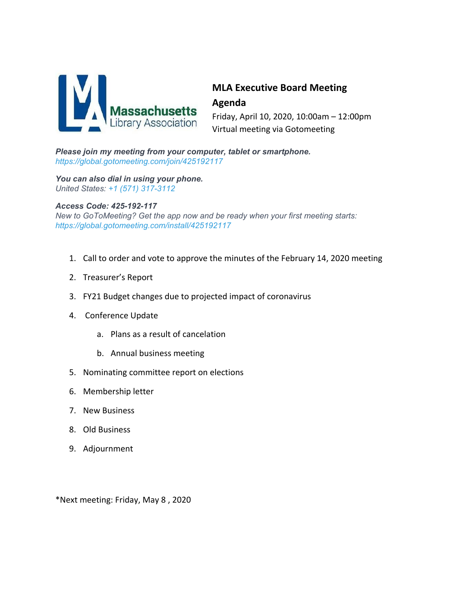

# **MLA Executive Board Meeting Agenda**

Friday, April 10, 2020, 10:00am – 12:00pm Virtual meeting via Gotomeeting

*Please join my meeting from your computer, tablet or smartphone. <https://global.gotomeeting.com/join/425192117>*

*You can also dial in using your phone. United States: +1 (571) 317-3112*

#### *Access Code: 425-192-117*

*New to GoToMeeting? Get the app now and be ready when your first meeting starts: <https://global.gotomeeting.com/install/425192117>*

- 1. Call to order and vote to approve the minutes of the February 14, 2020 meeting
- 2. Treasurer's Report
- 3. FY21 Budget changes due to projected impact of coronavirus
- 4. Conference Update
	- a. Plans as a result of cancelation
	- b. Annual business meeting
- 5. Nominating committee report on elections
- 6. Membership letter
- 7. New Business
- 8. Old Business
- 9. Adjournment

\*Next meeting: Friday, May 8 , 2020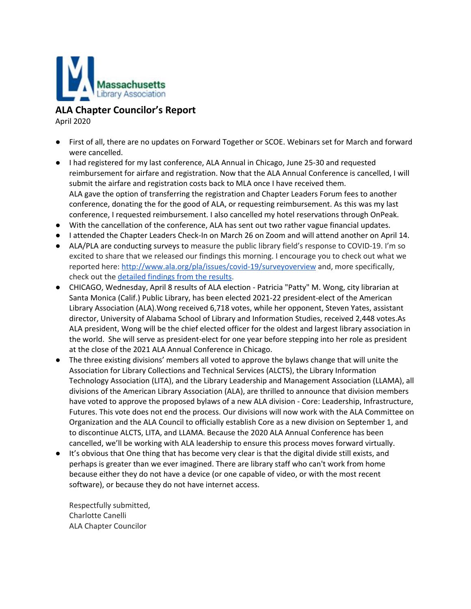

**ALA Chapter Councilor's Report**

April 2020

- First of all, there are no updates on Forward Together or SCOE. Webinars set for March and forward were cancelled.
- I had registered for my last conference, ALA Annual in Chicago, June 25-30 and requested reimbursement for airfare and registration. Now that the ALA Annual Conference is cancelled, I will submit the airfare and registration costs back to MLA once I have received them. ALA gave the option of transferring the registration and Chapter Leaders Forum fees to another conference, donating the for the good of ALA, or requesting reimbursement. As this was my last conference, I requested reimbursement. I also cancelled my hotel reservations through OnPeak.
- With the cancellation of the conference, ALA has sent out two rather vague financial updates.
- I attended the Chapter Leaders Check-In on March 26 on Zoom and will attend another on April 14.
- ALA/PLA are conducting surveys to measure the public library field's response to COVID-19. I'm so excited to share that we released our findings this morning. I encourage you to check out what we reported here: <http://www.ala.org/pla/issues/covid-19/surveyoverview> and, more specifically, check out the [detailed](http://www.ala.org/pla/sites/ala.org.pla/files/content/advocacy/covid-19/PLA-Libraries-Respond-Survey_Aggregate-Results_FINAL2.pdf) findings from the results.
- CHICAGO, Wednesday, April 8 results of ALA election Patricia "Patty" M. Wong, city librarian at Santa Monica (Calif.) Public Library, has been elected 2021-22 president-elect of the American Library Association (ALA).Wong received 6,718 votes, while her opponent, Steven Yates, assistant director, University of Alabama School of Library and Information Studies, received 2,448 votes.As ALA president, Wong will be the chief elected officer for the oldest and largest library association in the world. She will serve as president-elect for one year before stepping into her role as president at the close of the 2021 ALA Annual Conference in Chicago.
- The three existing divisions' members all voted to approve the bylaws change that will unite the Association for Library Collections and Technical Services (ALCTS), the Library Information Technology Association (LITA), and the Library Leadership and Management Association (LLAMA), all divisions of the American Library Association (ALA), are thrilled to announce that division members have voted to approve the proposed bylaws of a new ALA division - Core: Leadership, Infrastructure, Futures. This vote does not end the process. Our divisions will now work with the ALA Committee on Organization and the ALA Council to officially establish Core as a new division on September 1, and to discontinue ALCTS, LITA, and LLAMA. Because the 2020 ALA Annual Conference has been cancelled, we'll be working with ALA leadership to ensure this process moves forward virtually.
- It's obvious that One thing that has become very clear is that the digital divide still exists, and perhaps is greater than we ever imagined. There are library staff who can't work from home because either they do not have a device (or one capable of video, or with the most recent software), or because they do not have internet access.

Respectfully submitted, Charlotte Canelli ALA Chapter Councilor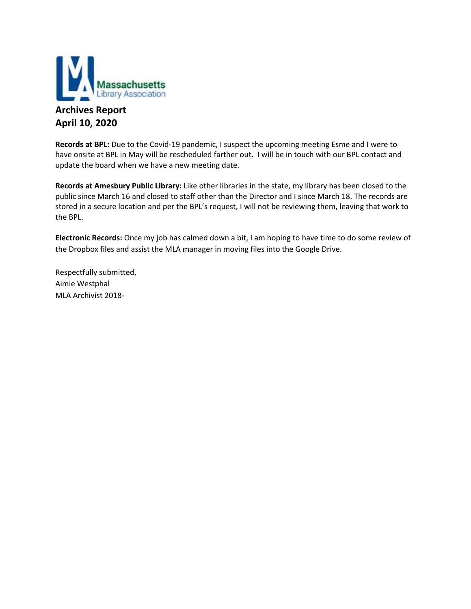

# **Archives Report April 10, 2020**

**Records at BPL:** Due to the Covid-19 pandemic, I suspect the upcoming meeting Esme and I were to have onsite at BPL in May will be rescheduled farther out. I will be in touch with our BPL contact and update the board when we have a new meeting date.

**Records at Amesbury Public Library:** Like other libraries in the state, my library has been closed to the public since March 16 and closed to staff other than the Director and I since March 18. The records are stored in a secure location and per the BPL's request, I will not be reviewing them, leaving that work to the BPL.

**Electronic Records:** Once my job has calmed down a bit, I am hoping to have time to do some review of the Dropbox files and assist the MLA manager in moving files into the Google Drive.

Respectfully submitted, Aimie Westphal MLA Archivist 2018-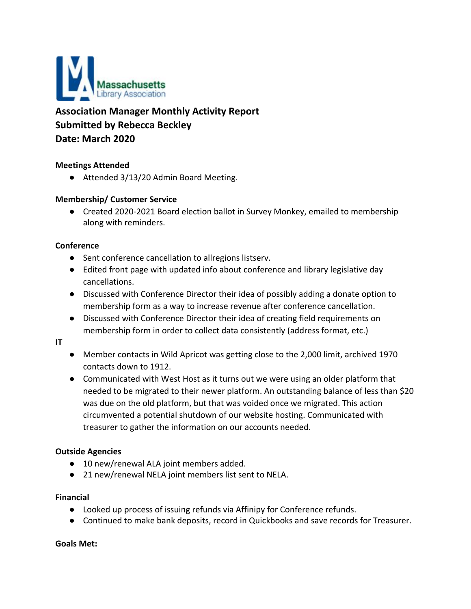

**Association Manager Monthly Activity Report Submitted by Rebecca Beckley Date: March 2020**

# **Meetings Attended**

● Attended 3/13/20 Admin Board Meeting.

# **Membership/ Customer Service**

● Created 2020-2021 Board election ballot in Survey Monkey, emailed to membership along with reminders.

## **Conference**

- Sent conference cancellation to allregions listserv.
- Edited front page with updated info about conference and library legislative day cancellations.
- Discussed with Conference Director their idea of possibly adding a donate option to membership form as a way to increase revenue after conference cancellation.
- Discussed with Conference Director their idea of creating field requirements on membership form in order to collect data consistently (address format, etc.)

#### **IT**

- Member contacts in Wild Apricot was getting close to the 2,000 limit, archived 1970 contacts down to 1912.
- Communicated with West Host as it turns out we were using an older platform that needed to be migrated to their newer platform. An outstanding balance of less than \$20 was due on the old platform, but that was voided once we migrated. This action circumvented a potential shutdown of our website hosting. Communicated with treasurer to gather the information on our accounts needed.

## **Outside Agencies**

- 10 new/renewal ALA joint members added.
- 21 new/renewal NELA joint members list sent to NELA.

## **Financial**

- Looked up process of issuing refunds via Affinipy for Conference refunds.
- Continued to make bank deposits, record in Quickbooks and save records for Treasurer.

## **Goals Met:**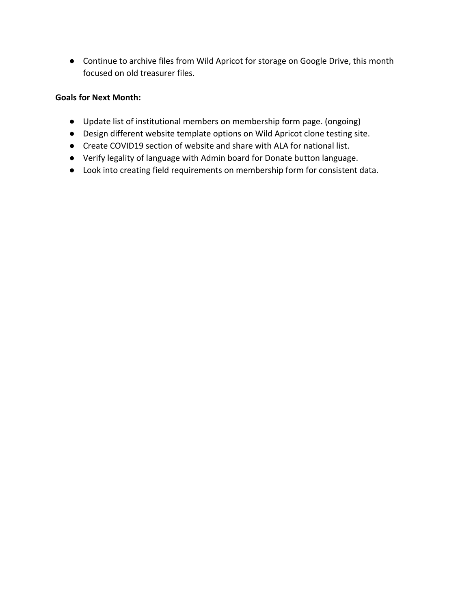● Continue to archive files from Wild Apricot for storage on Google Drive, this month focused on old treasurer files.

# **Goals for Next Month:**

- Update list of institutional members on membership form page. (ongoing)
- Design different website template options on Wild Apricot clone testing site.
- Create COVID19 section of website and share with ALA for national list.
- Verify legality of language with Admin board for Donate button language.
- Look into creating field requirements on membership form for consistent data.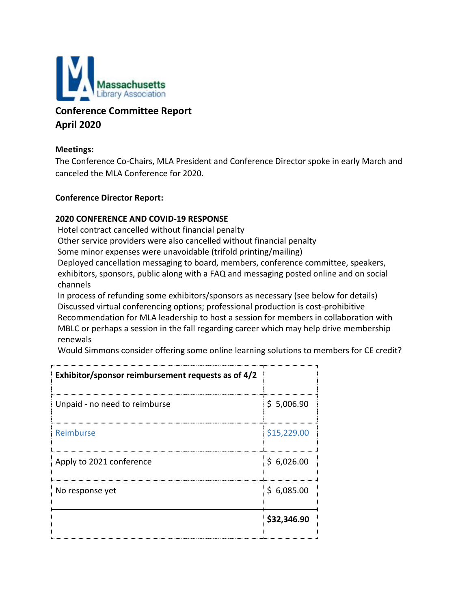

# **Conference Committee Report April 2020**

# **Meetings:**

The Conference Co-Chairs, MLA President and Conference Director spoke in early March and canceled the MLA Conference for 2020.

## **Conference Director Report:**

# **2020 CONFERENCE AND COVID-19 RESPONSE**

Hotel contract cancelled without financial penalty

Other service providers were also cancelled without financial penalty

Some minor expenses were unavoidable (trifold printing/mailing)

Deployed cancellation messaging to board, members, conference committee, speakers, exhibitors, sponsors, public along with a FAQ and messaging posted online and on social channels

In process of refunding some exhibitors/sponsors as necessary (see below for details) Discussed virtual conferencing options; professional production is cost-prohibitive Recommendation for MLA leadership to host a session for members in collaboration with MBLC or perhaps a session in the fall regarding career which may help drive membership renewals

Would Simmons consider offering some online learning solutions to members for CE credit?

| Exhibitor/sponsor reimbursement requests as of 4/2 |             |
|----------------------------------------------------|-------------|
| Unpaid - no need to reimburse                      | \$5,006.90  |
| Reimburse                                          | \$15,229.00 |
| Apply to 2021 conference                           | \$6,026.00  |
| No response yet                                    | \$6,085.00  |
|                                                    | \$32,346.90 |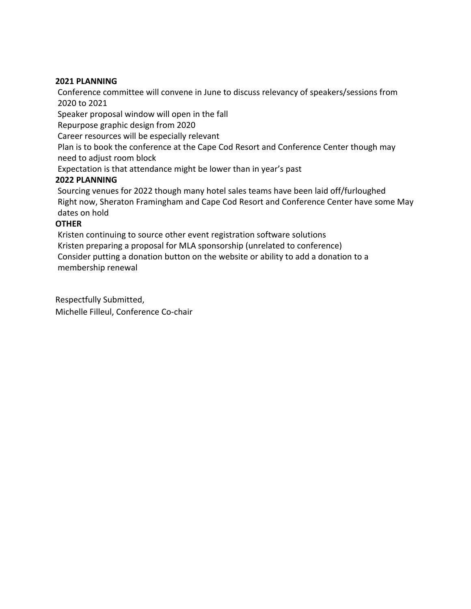## **2021 PLANNING**

Conference committee will convene in June to discuss relevancy of speakers/sessions from 2020 to 2021

Speaker proposal window will open in the fall

Repurpose graphic design from 2020

Career resources will be especially relevant

Plan is to book the conference at the Cape Cod Resort and Conference Center though may need to adjust room block

Expectation is that attendance might be lower than in year's past

# **2022 PLANNING**

Sourcing venues for 2022 though many hotel sales teams have been laid off/furloughed Right now, Sheraton Framingham and Cape Cod Resort and Conference Center have some May dates on hold

# **OTHER**

Kristen continuing to source other event registration software solutions Kristen preparing a proposal for MLA sponsorship (unrelated to conference) Consider putting a donation button on the website or ability to add a donation to a membership renewal

Respectfully Submitted, Michelle Filleul, Conference Co-chair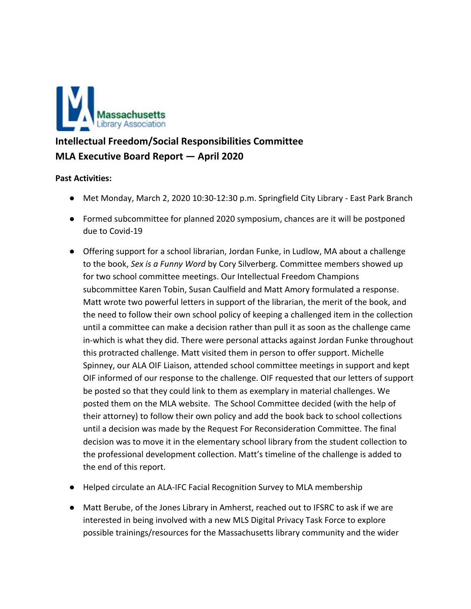

# **Intellectual Freedom/Social Responsibilities Committee MLA Executive Board Report — April 2020**

# **Past Activities:**

- Met Monday, March 2, 2020 10:30-12:30 p.m. Springfield City Library East Park Branch
- Formed subcommittee for planned 2020 symposium, chances are it will be postponed due to Covid-19
- Offering support for a school librarian, Jordan Funke, in Ludlow, MA about a challenge to the book, *Sex is a Funny Word* by Cory Silverberg. Committee members showed up for two school committee meetings. Our Intellectual Freedom Champions subcommittee Karen Tobin, Susan Caulfield and Matt Amory formulated a response. Matt wrote two powerful letters in support of the librarian, the merit of the book, and the need to follow their own school policy of keeping a challenged item in the collection until a committee can make a decision rather than pull it as soon as the challenge came in-which is what they did. There were personal attacks against Jordan Funke throughout this protracted challenge. Matt visited them in person to offer support. Michelle Spinney, our ALA OIF Liaison, attended school committee meetings in support and kept OIF informed of our response to the challenge. OIF requested that our letters of support be posted so that they could link to them as exemplary in material challenges. We posted them on the MLA website. The School Committee decided (with the help of their attorney) to follow their own policy and add the book back to school collections until a decision was made by the Request For Reconsideration Committee. The final decision was to move it in the elementary school library from the student collection to the professional development collection. Matt's timeline of the challenge is added to the end of this report.
- Helped circulate an ALA-IFC Facial Recognition Survey to MLA membership
- Matt Berube, of the Jones Library in Amherst, reached out to IFSRC to ask if we are interested in being involved with a new MLS Digital Privacy Task Force to explore possible trainings/resources for the Massachusetts library community and the wider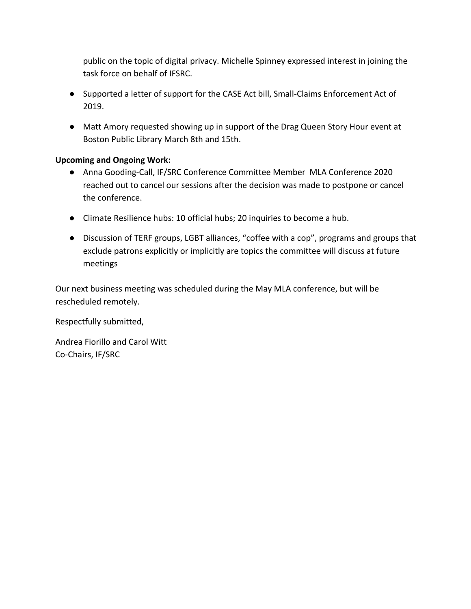public on the topic of digital privacy. Michelle Spinney expressed interest in joining the task force on behalf of IFSRC.

- Supported a letter of support for the CASE Act bill, Small-Claims Enforcement Act of 2019.
- Matt Amory requested showing up in support of the Drag Queen Story Hour event at Boston Public Library March 8th and 15th.

# **Upcoming and Ongoing Work:**

- Anna Gooding-Call, IF/SRC Conference Committee Member MLA Conference 2020 reached out to cancel our sessions after the decision was made to postpone or cancel the conference.
- Climate Resilience hubs: 10 official hubs; 20 inquiries to become a hub.
- Discussion of TERF groups, LGBT alliances, "coffee with a cop", programs and groups that exclude patrons explicitly or implicitly are topics the committee will discuss at future meetings

Our next business meeting was scheduled during the May MLA conference, but will be rescheduled remotely.

Respectfully submitted,

Andrea Fiorillo and Carol Witt Co-Chairs, IF/SRC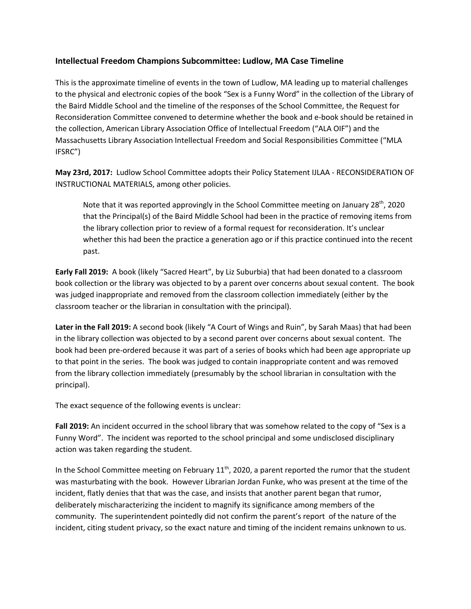## **Intellectual Freedom Champions Subcommittee: Ludlow, MA Case Timeline**

This is the approximate timeline of events in the town of Ludlow, MA leading up to material challenges to the physical and electronic copies of the book "Sex is a Funny Word" in the collection of the Library of the Baird Middle School and the timeline of the responses of the School Committee, the Request for Reconsideration Committee convened to determine whether the book and e-book should be retained in the collection, American Library Association Office of Intellectual Freedom ("ALA OIF") and the Massachusetts Library Association Intellectual Freedom and Social Responsibilities Committee ("MLA IFSRC")

**May 23rd, 2017:** Ludlow School Committee adopts their Policy Statement IJLAA - RECONSIDERATION OF INSTRUCTIONAL MATERIALS, among other policies.

Note that it was reported approvingly in the School Committee meeting on January 28<sup>th</sup>, 2020 that the Principal(s) of the Baird Middle School had been in the practice of removing items from the library collection prior to review of a formal request for reconsideration. It's unclear whether this had been the practice a generation ago or if this practice continued into the recent past.

**Early Fall 2019:** A book (likely "Sacred Heart", by Liz Suburbia) that had been donated to a classroom book collection or the library was objected to by a parent over concerns about sexual content. The book was judged inappropriate and removed from the classroom collection immediately (either by the classroom teacher or the librarian in consultation with the principal).

**Later in the Fall 2019:** A second book (likely "A Court of Wings and Ruin", by Sarah Maas) that had been in the library collection was objected to by a second parent over concerns about sexual content. The book had been pre-ordered because it was part of a series of books which had been age appropriate up to that point in the series. The book was judged to contain inappropriate content and was removed from the library collection immediately (presumably by the school librarian in consultation with the principal).

The exact sequence of the following events is unclear:

**Fall 2019:** An incident occurred in the school library that was somehow related to the copy of "Sex is a Funny Word". The incident was reported to the school principal and some undisclosed disciplinary action was taken regarding the student.

In the School Committee meeting on February  $11<sup>th</sup>$ , 2020, a parent reported the rumor that the student was masturbating with the book. However Librarian Jordan Funke, who was present at the time of the incident, flatly denies that that was the case, and insists that another parent began that rumor, deliberately mischaracterizing the incident to magnify its significance among members of the community. The superintendent pointedly did not confirm the parent's report of the nature of the incident, citing student privacy, so the exact nature and timing of the incident remains unknown to us.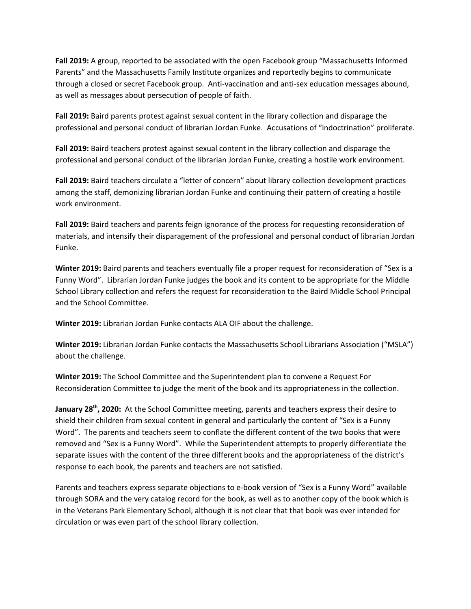**Fall 2019:** A group, reported to be associated with the open Facebook group "Massachusetts Informed Parents" and the Massachusetts Family Institute organizes and reportedly begins to communicate through a closed or secret Facebook group. Anti-vaccination and anti-sex education messages abound, as well as messages about persecution of people of faith.

**Fall 2019:** Baird parents protest against sexual content in the library collection and disparage the professional and personal conduct of librarian Jordan Funke. Accusations of "indoctrination" proliferate.

**Fall 2019:** Baird teachers protest against sexual content in the library collection and disparage the professional and personal conduct of the librarian Jordan Funke, creating a hostile work environment.

**Fall 2019:** Baird teachers circulate a "letter of concern" about library collection development practices among the staff, demonizing librarian Jordan Funke and continuing their pattern of creating a hostile work environment.

**Fall 2019:** Baird teachers and parents feign ignorance of the process for requesting reconsideration of materials, and intensify their disparagement of the professional and personal conduct of librarian Jordan Funke.

**Winter 2019:** Baird parents and teachers eventually file a proper request for reconsideration of "Sex is a Funny Word". Librarian Jordan Funke judges the book and its content to be appropriate for the Middle School Library collection and refers the request for reconsideration to the Baird Middle School Principal and the School Committee.

**Winter 2019:** Librarian Jordan Funke contacts ALA OIF about the challenge.

**Winter 2019:** Librarian Jordan Funke contacts the Massachusetts School Librarians Association ("MSLA") about the challenge.

**Winter 2019:** The School Committee and the Superintendent plan to convene a Request For Reconsideration Committee to judge the merit of the book and its appropriateness in the collection.

**January 28<sup>th</sup>, 2020:** At the School Committee meeting, parents and teachers express their desire to shield their children from sexual content in general and particularly the content of "Sex is a Funny Word". The parents and teachers seem to conflate the different content of the two books that were removed and "Sex is a Funny Word". While the Superintendent attempts to properly differentiate the separate issues with the content of the three different books and the appropriateness of the district's response to each book, the parents and teachers are not satisfied.

Parents and teachers express separate objections to e-book version of "Sex is a Funny Word" available through SORA and the very catalog record for the book, as well as to another copy of the book which is in the Veterans Park Elementary School, although it is not clear that that book was ever intended for circulation or was even part of the school library collection.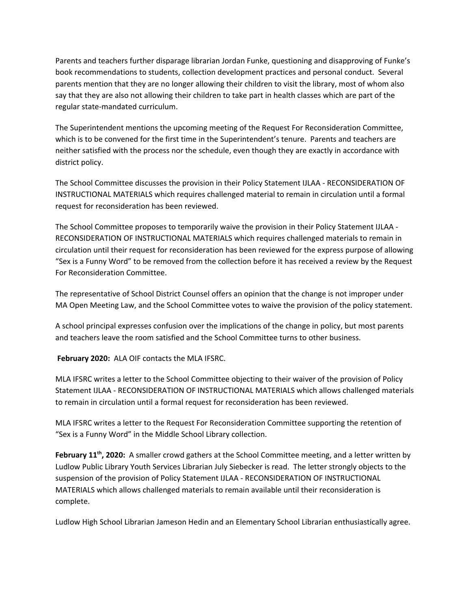Parents and teachers further disparage librarian Jordan Funke, questioning and disapproving of Funke's book recommendations to students, collection development practices and personal conduct. Several parents mention that they are no longer allowing their children to visit the library, most of whom also say that they are also not allowing their children to take part in health classes which are part of the regular state-mandated curriculum.

The Superintendent mentions the upcoming meeting of the Request For Reconsideration Committee, which is to be convened for the first time in the Superintendent's tenure. Parents and teachers are neither satisfied with the process nor the schedule, even though they are exactly in accordance with district policy.

The School Committee discusses the provision in their Policy Statement IJLAA - RECONSIDERATION OF INSTRUCTIONAL MATERIALS which requires challenged material to remain in circulation until a formal request for reconsideration has been reviewed.

The School Committee proposes to temporarily waive the provision in their Policy Statement IJLAA - RECONSIDERATION OF INSTRUCTIONAL MATERIALS which requires challenged materials to remain in circulation until their request for reconsideration has been reviewed for the express purpose of allowing "Sex is a Funny Word" to be removed from the collection before it has received a review by the Request For Reconsideration Committee.

The representative of School District Counsel offers an opinion that the change is not improper under MA Open Meeting Law, and the School Committee votes to waive the provision of the policy statement.

A school principal expresses confusion over the implications of the change in policy, but most parents and teachers leave the room satisfied and the School Committee turns to other business.

**February 2020:** ALA OIF contacts the MLA IFSRC.

MLA IFSRC writes a letter to the School Committee objecting to their waiver of the provision of Policy Statement IJLAA - RECONSIDERATION OF INSTRUCTIONAL MATERIALS which allows challenged materials to remain in circulation until a formal request for reconsideration has been reviewed.

MLA IFSRC writes a letter to the Request For Reconsideration Committee supporting the retention of "Sex is a Funny Word" in the Middle School Library collection.

February 11<sup>th</sup>, 2020: A smaller crowd gathers at the School Committee meeting, and a letter written by Ludlow Public Library Youth Services Librarian July Siebecker is read. The letter strongly objects to the suspension of the provision of Policy Statement IJLAA - RECONSIDERATION OF INSTRUCTIONAL MATERIALS which allows challenged materials to remain available until their reconsideration is complete.

Ludlow High School Librarian Jameson Hedin and an Elementary School Librarian enthusiastically agree.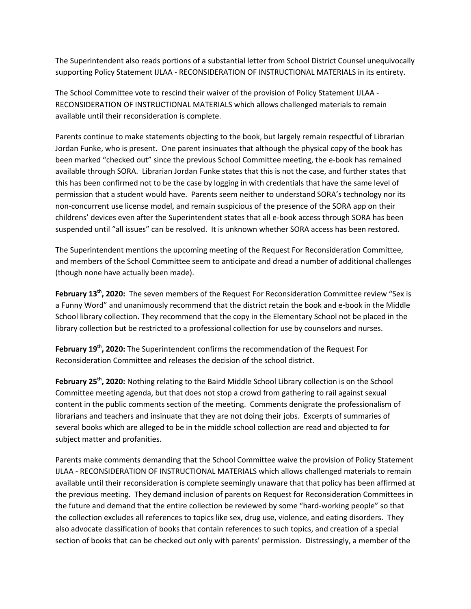The Superintendent also reads portions of a substantial letter from School District Counsel unequivocally supporting Policy Statement IJLAA - RECONSIDERATION OF INSTRUCTIONAL MATERIALS in its entirety.

The School Committee vote to rescind their waiver of the provision of Policy Statement IJLAA - RECONSIDERATION OF INSTRUCTIONAL MATERIALS which allows challenged materials to remain available until their reconsideration is complete.

Parents continue to make statements objecting to the book, but largely remain respectful of Librarian Jordan Funke, who is present. One parent insinuates that although the physical copy of the book has been marked "checked out" since the previous School Committee meeting, the e-book has remained available through SORA. Librarian Jordan Funke states that this is not the case, and further states that this has been confirmed not to be the case by logging in with credentials that have the same level of permission that a student would have. Parents seem neither to understand SORA's technology nor its non-concurrent use license model, and remain suspicious of the presence of the SORA app on their childrens' devices even after the Superintendent states that all e-book access through SORA has been suspended until "all issues" can be resolved. It is unknown whether SORA access has been restored.

The Superintendent mentions the upcoming meeting of the Request For Reconsideration Committee, and members of the School Committee seem to anticipate and dread a number of additional challenges (though none have actually been made).

February 13<sup>th</sup>, 2020: The seven members of the Request For Reconsideration Committee review "Sex is a Funny Word" and unanimously recommend that the district retain the book and e-book in the Middle School library collection. They recommend that the copy in the Elementary School not be placed in the library collection but be restricted to a professional collection for use by counselors and nurses.

February 19<sup>th</sup>, 2020: The Superintendent confirms the recommendation of the Request For Reconsideration Committee and releases the decision of the school district.

February 25<sup>th</sup>, 2020: Nothing relating to the Baird Middle School Library collection is on the School Committee meeting agenda, but that does not stop a crowd from gathering to rail against sexual content in the public comments section of the meeting. Comments denigrate the professionalism of librarians and teachers and insinuate that they are not doing their jobs. Excerpts of summaries of several books which are alleged to be in the middle school collection are read and objected to for subject matter and profanities.

Parents make comments demanding that the School Committee waive the provision of Policy Statement IJLAA - RECONSIDERATION OF INSTRUCTIONAL MATERIALS which allows challenged materials to remain available until their reconsideration is complete seemingly unaware that that policy has been affirmed at the previous meeting. They demand inclusion of parents on Request for Reconsideration Committees in the future and demand that the entire collection be reviewed by some "hard-working people" so that the collection excludes all references to topics like sex, drug use, violence, and eating disorders. They also advocate classification of books that contain references to such topics, and creation of a special section of books that can be checked out only with parents' permission. Distressingly, a member of the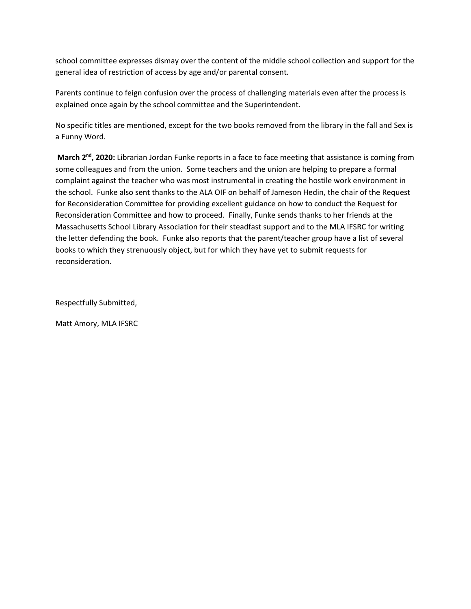school committee expresses dismay over the content of the middle school collection and support for the general idea of restriction of access by age and/or parental consent.

Parents continue to feign confusion over the process of challenging materials even after the process is explained once again by the school committee and the Superintendent.

No specific titles are mentioned, except for the two books removed from the library in the fall and Sex is a Funny Word.

March 2<sup>nd</sup>, 2020: Librarian Jordan Funke reports in a face to face meeting that assistance is coming from some colleagues and from the union. Some teachers and the union are helping to prepare a formal complaint against the teacher who was most instrumental in creating the hostile work environment in the school. Funke also sent thanks to the ALA OIF on behalf of Jameson Hedin, the chair of the Request for Reconsideration Committee for providing excellent guidance on how to conduct the Request for Reconsideration Committee and how to proceed. Finally, Funke sends thanks to her friends at the Massachusetts School Library Association for their steadfast support and to the MLA IFSRC for writing the letter defending the book. Funke also reports that the parent/teacher group have a list of several books to which they strenuously object, but for which they have yet to submit requests for reconsideration.

Respectfully Submitted,

Matt Amory, MLA IFSRC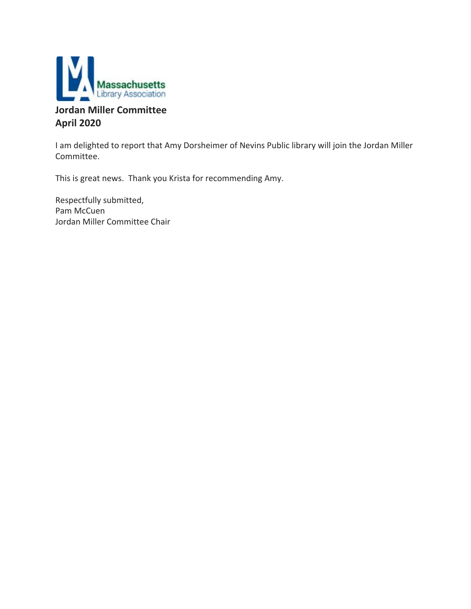

# **Jordan Miller Committee April 2020**

I am delighted to report that Amy Dorsheimer of Nevins Public library will join the Jordan Miller Committee.

This is great news. Thank you Krista for recommending Amy.

Respectfully submitted, Pam McCuen Jordan Miller Committee Chair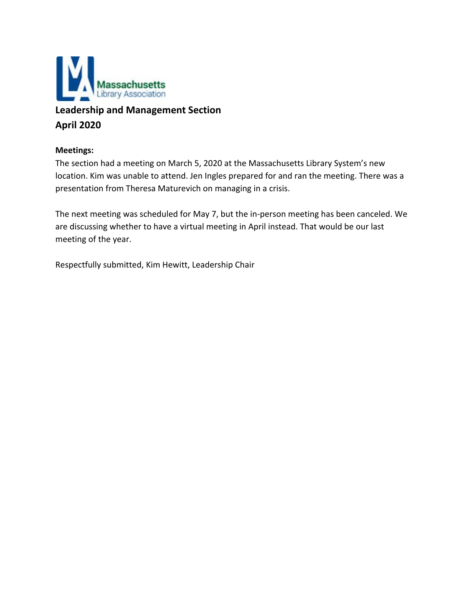

# **Leadership and Management Section April 2020**

# **Meetings:**

The section had a meeting on March 5, 2020 at the Massachusetts Library System's new location. Kim was unable to attend. Jen Ingles prepared for and ran the meeting. There was a presentation from Theresa Maturevich on managing in a crisis.

The next meeting was scheduled for May 7, but the in-person meeting has been canceled. We are discussing whether to have a virtual meeting in April instead. That would be our last meeting of the year.

Respectfully submitted, Kim Hewitt, Leadership Chair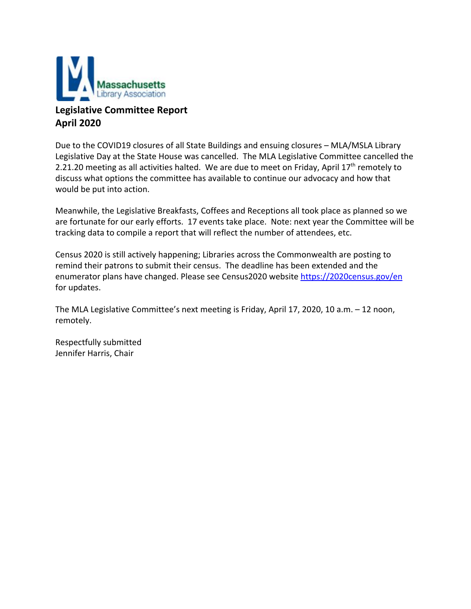

# **Legislative Committee Report April 2020**

Due to the COVID19 closures of all State Buildings and ensuing closures – MLA/MSLA Library Legislative Day at the State House was cancelled. The MLA Legislative Committee cancelled the 2.21.20 meeting as all activities halted. We are due to meet on Friday, April 17<sup>th</sup> remotely to discuss what options the committee has available to continue our advocacy and how that would be put into action.

Meanwhile, the Legislative Breakfasts, Coffees and Receptions all took place as planned so we are fortunate for our early efforts. 17 events take place. Note: next year the Committee will be tracking data to compile a report that will reflect the number of attendees, etc.

Census 2020 is still actively happening; Libraries across the Commonwealth are posting to remind their patrons to submit their census. The deadline has been extended and the enumerator plans have changed. Please see Census2020 website <https://2020census.gov/en> for updates.

The MLA Legislative Committee's next meeting is Friday, April 17, 2020, 10 a.m. – 12 noon, remotely.

Respectfully submitted Jennifer Harris, Chair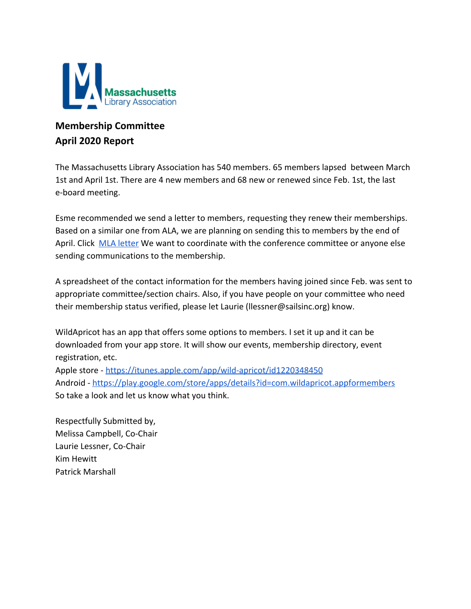

# **Membership Committee April 2020 Report**

The Massachusetts Library Association has 540 members. 65 members lapsed between March 1st and April 1st. There are 4 new members and 68 new or renewed since Feb. 1st, the last e-board meeting.

Esme recommended we send a letter to members, requesting they renew their memberships. Based on a similar one from ALA, we are planning on sending this to members by the end of April. Click [MLA letter](https://docs.google.com/document/d/1EM2kEKe_zUqF-KqbzXfq6yqUNsoqSaE4lcMY3XsTR7Q/edit?usp=sharing) We want to coordinate with the conference committee or anyone else sending communications to the membership.

A spreadsheet of the contact information for the members having joined since Feb. was sent to appropriate committee/section chairs. Also, if you have people on your committee who need their membership status verified, please let Laurie (llessner@sailsinc.org) know.

WildApricot has an app that offers some options to members. I set it up and it can be downloaded from your app store. It will show our events, membership directory, event registration, etc. Apple store -<https://itunes.apple.com/app/wild-apricot/id1220348450>

Android -<https://play.google.com/store/apps/details?id=com.wildapricot.appformembers> So take a look and let us know what you think.

Respectfully Submitted by, Melissa Campbell, Co-Chair Laurie Lessner, Co-Chair Kim Hewitt Patrick Marshall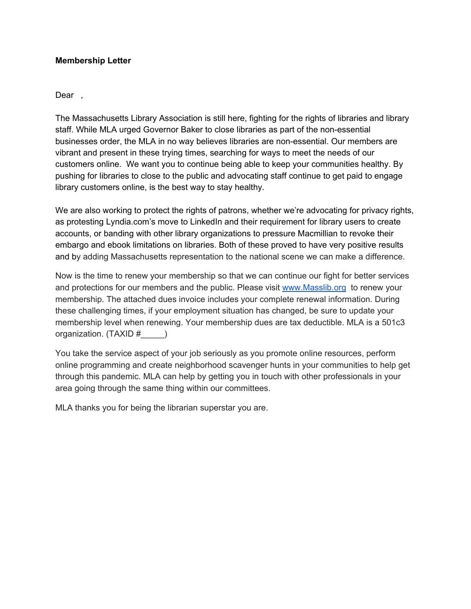# **Membership Letter**

Dear.

The Massachusetts Library Association is still here, fighting for the rights of libraries and library staff. While MLA urged Governor Baker to close libraries as part of the non-essential businesses order, the MLA in no way believes libraries are non-essential. Our members are vibrant and present in these trying times, searching for ways to meet the needs of our customers online. We want you to continue being able to keep your communities healthy. By pushing for libraries to close to the public and advocating staff continue to get paid to engage library customers online, is the best way to stay healthy.

We are also working to protect the rights of patrons, whether we're advocating for privacy rights, as protesting Lyndia.com's move to LinkedIn and their requirement for library users to create accounts, or banding with other library organizations to pressure Macmillian to revoke their embargo and ebook limitations on libraries. Both of these proved to have very positive results and by adding Massachusetts representation to the national scene we can make a difference.

Now is the time to renew your membership so that we can continue our fight for better services and protections for our members and the public. Please visit [www.Masslib.org](http://www.masslib.org/) to renew your membership. The attached dues invoice includes your complete renewal information. During these challenging times, if your employment situation has changed, be sure to update your membership level when renewing. Your membership dues are tax deductible. MLA is a 501c3 organization. (TAXID #\_\_\_\_\_)

You take the service aspect of your job seriously as you promote online resources, perform online programming and create neighborhood scavenger hunts in your communities to help get through this pandemic. MLA can help by getting you in touch with other professionals in your area going through the same thing within our committees.

MLA thanks you for being the librarian superstar you are.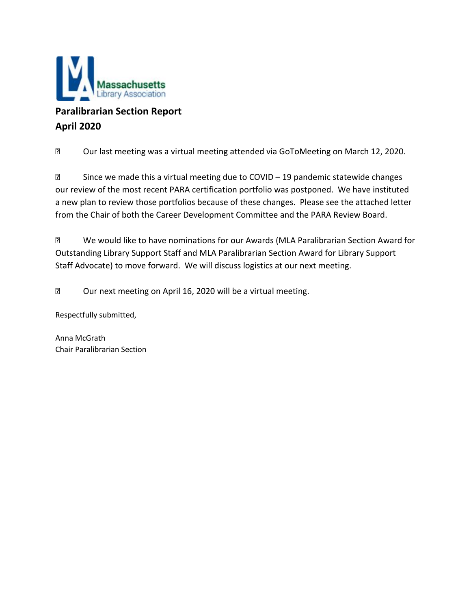

# **Paralibrarian Section Report April 2020**

Our last meeting was a virtual meeting attended via GoToMeeting on March 12, 2020.

**• Since we made this a virtual meeting due to COVID – 19 pandemic statewide changes** our review of the most recent PARA certification portfolio was postponed. We have instituted a new plan to review those portfolios because of these changes. Please see the attached letter from the Chair of both the Career Development Committee and the PARA Review Board.

**■ We would like to have nominations for our Awards (MLA Paralibrarian Section Award for** Outstanding Library Support Staff and MLA Paralibrarian Section Award for Library Support Staff Advocate) to move forward. We will discuss logistics at our next meeting.

**2** Our next meeting on April 16, 2020 will be a virtual meeting.

Respectfully submitted,

Anna McGrath Chair Paralibrarian Section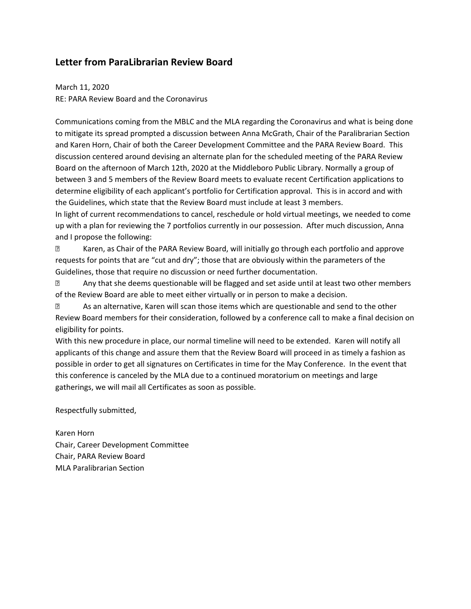# **Letter from ParaLibrarian Review Board**

March 11, 2020 RE: PARA Review Board and the Coronavirus

Communications coming from the MBLC and the MLA regarding the Coronavirus and what is being done to mitigate its spread prompted a discussion between Anna McGrath, Chair of the Paralibrarian Section and Karen Horn, Chair of both the Career Development Committee and the PARA Review Board. This discussion centered around devising an alternate plan for the scheduled meeting of the PARA Review Board on the afternoon of March 12th, 2020 at the Middleboro Public Library. Normally a group of between 3 and 5 members of the Review Board meets to evaluate recent Certification applications to determine eligibility of each applicant's portfolio for Certification approval. This is in accord and with the Guidelines, which state that the Review Board must include at least 3 members. In light of current recommendations to cancel, reschedule or hold virtual meetings, we needed to come

up with a plan for reviewing the 7 portfolios currently in our possession. After much discussion, Anna and I propose the following:

 Karen, as Chair of the PARA Review Board, will initially go through each portfolio and approve requests for points that are "cut and dry"; those that are obviously within the parameters of the Guidelines, those that require no discussion or need further documentation.

**E** Any that she deems questionable will be flagged and set aside until at least two other members of the Review Board are able to meet either virtually or in person to make a decision.

 As an alternative, Karen will scan those items which are questionable and send to the other Review Board members for their consideration, followed by a conference call to make a final decision on eligibility for points.

With this new procedure in place, our normal timeline will need to be extended. Karen will notify all applicants of this change and assure them that the Review Board will proceed in as timely a fashion as possible in order to get all signatures on Certificates in time for the May Conference. In the event that this conference is canceled by the MLA due to a continued moratorium on meetings and large gatherings, we will mail all Certificates as soon as possible.

Respectfully submitted,

Karen Horn Chair, Career Development Committee Chair, PARA Review Board MLA Paralibrarian Section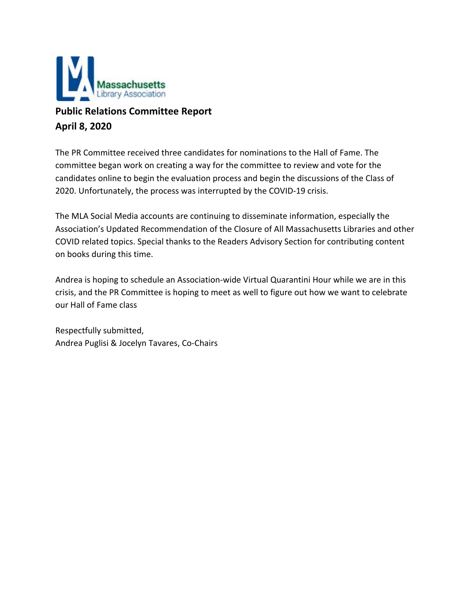

# **Public Relations Committee Report April 8, 2020**

The PR Committee received three candidates for nominations to the Hall of Fame. The committee began work on creating a way for the committee to review and vote for the candidates online to begin the evaluation process and begin the discussions of the Class of 2020. Unfortunately, the process was interrupted by the COVID-19 crisis.

The MLA Social Media accounts are continuing to disseminate information, especially the Association's Updated Recommendation of the Closure of All Massachusetts Libraries and other COVID related topics. Special thanks to the Readers Advisory Section for contributing content on books during this time.

Andrea is hoping to schedule an Association-wide Virtual Quarantini Hour while we are in this crisis, and the PR Committee is hoping to meet as well to figure out how we want to celebrate our Hall of Fame class

Respectfully submitted, Andrea Puglisi & Jocelyn Tavares, Co-Chairs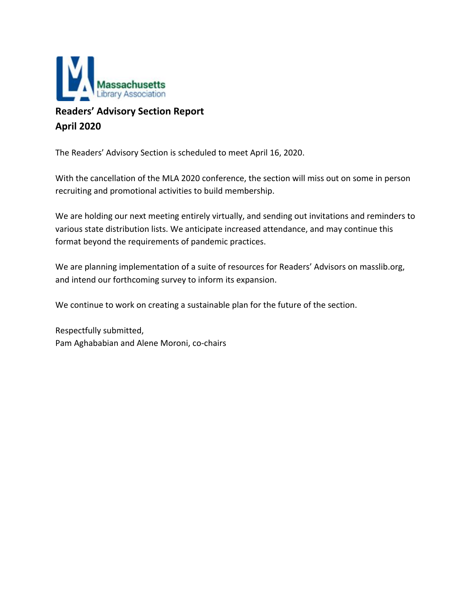

# **Readers' Advisory Section Report April 2020**

The Readers' Advisory Section is scheduled to meet April 16, 2020.

With the cancellation of the MLA 2020 conference, the section will miss out on some in person recruiting and promotional activities to build membership.

We are holding our next meeting entirely virtually, and sending out invitations and reminders to various state distribution lists. We anticipate increased attendance, and may continue this format beyond the requirements of pandemic practices.

We are planning implementation of a suite of resources for Readers' Advisors on masslib.org, and intend our forthcoming survey to inform its expansion.

We continue to work on creating a sustainable plan for the future of the section.

Respectfully submitted, Pam Aghababian and Alene Moroni, co-chairs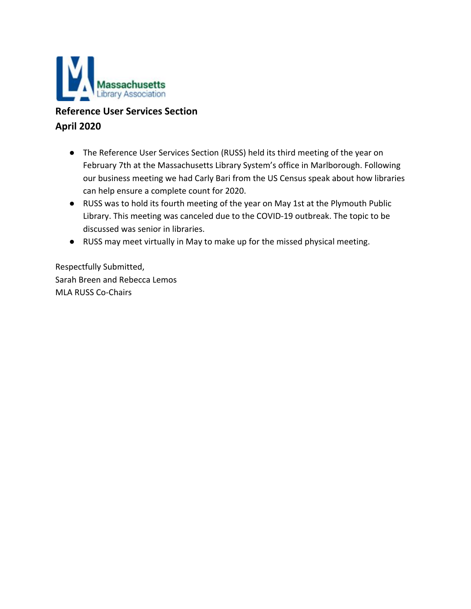

# **Reference User Services Section April 2020**

- The Reference User Services Section (RUSS) held its third meeting of the year on February 7th at the Massachusetts Library System's office in Marlborough. Following our business meeting we had Carly Bari from the US Census speak about how libraries can help ensure a complete count for 2020.
- RUSS was to hold its fourth meeting of the year on May 1st at the Plymouth Public Library. This meeting was canceled due to the COVID-19 outbreak. The topic to be discussed was senior in libraries.
- RUSS may meet virtually in May to make up for the missed physical meeting.

Respectfully Submitted, Sarah Breen and Rebecca Lemos MLA RUSS Co-Chairs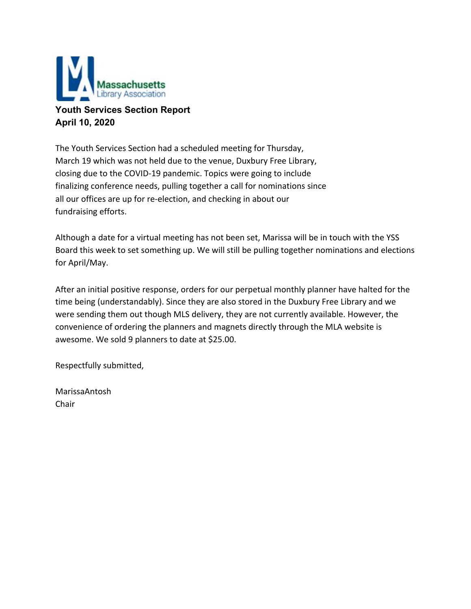

# **Youth Services Section Report April 10, 2020**

The Youth Services Section had a scheduled meeting for Thursday, March 19 which was not held due to the venue, Duxbury Free Library, closing due to the COVID-19 pandemic. Topics were going to include finalizing conference needs, pulling together a call for nominations since all our offices are up for re-election, and checking in about our fundraising efforts.

Although a date for a virtual meeting has not been set, Marissa will be in touch with the YSS Board this week to set something up. We will still be pulling together nominations and elections for April/May.

After an initial positive response, orders for our perpetual monthly planner have halted for the time being (understandably). Since they are also stored in the Duxbury Free Library and we were sending them out though MLS delivery, they are not currently available. However, the convenience of ordering the planners and magnets directly through the MLA website is awesome. We sold 9 planners to date at \$25.00.

Respectfully submitted,

MarissaAntosh Chair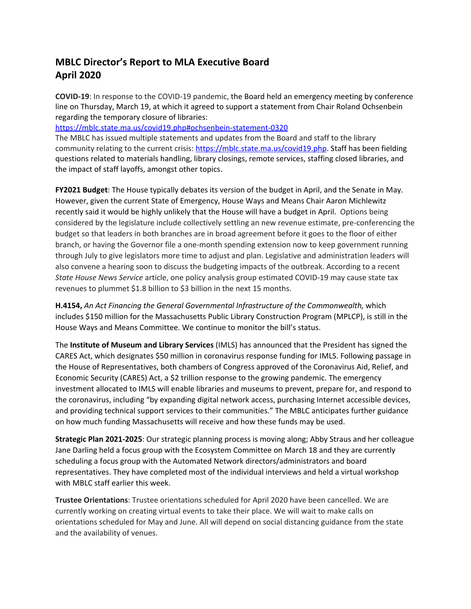# **MBLC Director's Report to MLA Executive Board April 2020**

**COVID-19**: In response to the COVID-19 pandemic, the Board held an emergency meeting by conference line on Thursday, March 19, at which it agreed to support a statement from Chair Roland Ochsenbein regarding the temporary closure of libraries:

<https://mblc.state.ma.us/covid19.php#ochsenbein-statement-0320>

The MBLC has issued multiple statements and updates from the Board and staff to the library community relating to the current crisis: <https://mblc.state.ma.us/covid19.php>. Staff has been fielding questions related to materials handling, library closings, remote services, staffing closed libraries, and the impact of staff layoffs, amongst other topics.

**FY2021 Budget**: The House typically debates its version of the budget in April, and the Senate in May. However, given the current State of Emergency, House Ways and Means Chair Aaron Michlewitz recently said it would be highly unlikely that the House will have a budget in April. Options being considered by the legislature include collectively settling an new revenue estimate, pre-conferencing the budget so that leaders in both branches are in broad agreement before it goes to the floor of either branch, or having the Governor file a one-month spending extension now to keep government running through July to give legislators more time to adjust and plan. Legislative and administration leaders will also convene a hearing soon to discuss the budgeting impacts of the outbreak. According to a recent *State House News Service* article, one policy analysis group [estimated](https://statehousenews.com/news/2020635) COVID-19 may cause state tax revenues to plummet \$1.8 billion to \$3 billion in the next 15 months.

**H.4154,** *An Act Financing the General Governmental Infrastructure of the Commonwealth,* which includes \$150 million for the Massachusetts Public Library Construction Program (MPLCP), is still in the House Ways and Means Committee. We continue to monitor the bill's status.

The **Institute of Museum and Library Services** (IMLS) has announced that the President has signed the CARES Act, which designates \$50 million in coronavirus response funding for IMLS. Following passage in the House of Representatives, both chambers of Congress approved of the Coronavirus Aid, Relief, and Economic Security (CARES) Act, a \$2 trillion response to the growing pandemic. The emergency investment allocated to IMLS will enable libraries and museums to prevent, prepare for, and respond to the coronavirus, including "by expanding digital network access, purchasing Internet accessible devices, and providing technical support services to their communities." The MBLC anticipates further guidance on how much funding Massachusetts will receive and how these funds may be used.

**Strategic Plan 2021-2025**: Our strategic planning process is moving along; Abby Straus and her colleague Jane Darling held a focus group with the Ecosystem Committee on March 18 and they are currently scheduling a focus group with the Automated Network directors/administrators and board representatives. They have completed most of the individual interviews and held a virtual workshop with MBLC staff earlier this week.

**Trustee Orientations**: Trustee orientations scheduled for April 2020 have been cancelled. We are currently working on creating virtual events to take their place. We will wait to make calls on orientations scheduled for May and June. All will depend on social distancing guidance from the state and the availability of venues.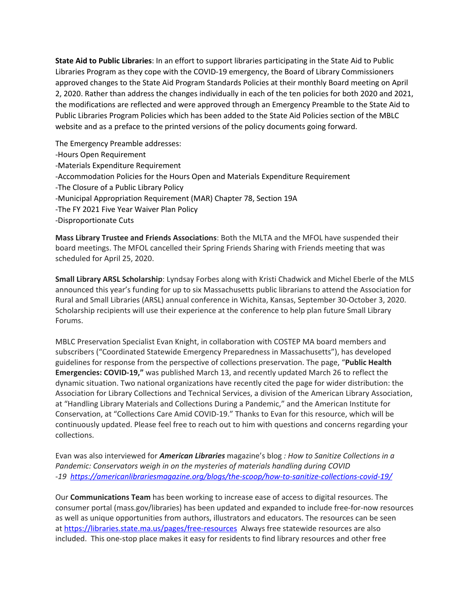**State Aid to Public Libraries**: In an effort to support libraries participating in the State Aid to Public Libraries Program as they cope with the COVID-19 emergency, the Board of Library Commissioners approved changes to the State Aid Program Standards Policies at their monthly Board meeting on April 2, 2020. Rather than address the changes individually in each of the ten policies for both 2020 and 2021, the modifications are reflected and were approved through an Emergency Preamble to the State Aid to Public Libraries Program Policies which has been added to the State Aid Policies section of the MBLC website and as a preface to the printed versions of the policy documents going forward.

The Emergency Preamble addresses: -Hours Open Requirement -Materials Expenditure Requirement -Accommodation Policies for the Hours Open and Materials Expenditure Requirement -The Closure of a Public Library Policy -Municipal Appropriation Requirement (MAR) Chapter 78, Section 19A -The FY 2021 Five Year Waiver Plan Policy -Disproportionate Cuts

**Mass Library Trustee and Friends Associations**: Both the MLTA and the MFOL have suspended their board meetings. The MFOL cancelled their Spring Friends Sharing with Friends meeting that was scheduled for April 25, 2020.

**Small Library ARSL Scholarship**: Lyndsay Forbes along with Kristi Chadwick and Michel Eberle of the MLS announced this year's funding for up to six Massachusetts public librarians to attend the Association for Rural and Small Libraries (ARSL) annual conference in Wichita, Kansas, September 30-October 3, 2020. Scholarship recipients will use their experience at the conference to help plan future Small Library Forums.

MBLC Preservation Specialist Evan Knight, in collaboration with COSTEP MA board members and subscribers ("Coordinated Statewide Emergency Preparedness in Massachusetts"), has developed guidelines for response from the perspective of collections preservation. The page, "**Public [Health](https://mblc.state.ma.us/costepma/index.php/cultural-institutions/mitigation/public-health-emergencies/) [Emergencies:](https://mblc.state.ma.us/costepma/index.php/cultural-institutions/mitigation/public-health-emergencies/) COVID-19,"** was published March 13, and recently updated March 26 to reflect the dynamic situation. Two national organizations have recently cited the page for wider distribution: the Association for Library Collections and Technical Services, a division of the American Library Association, at "Handling Library Materials and [Collections](http://www.ala.org/alcts/preservationweek/resources/pandemic) During a Pandemic," and the American Institute for Conservation, at ["Collections](https://www.culturalheritage.org/resources/emergencies/collections-care-amid-covid-19) Care Amid COVID-19." Thanks to Evan for this resource, which will be continuously updated. Please feel free to reach out to him with questions and concerns regarding your collections.

Evan was also interviewed for *American Libraries* magazine's blog *: How to Sanitize Collections in a Pandemic: Conservators weigh in on the mysteries of materials handling during COVID -19 <https://americanlibrariesmagazine.org/blogs/the-scoop/how-to-sanitize-collections-covid-19/>*

Our **Communications Team** has been working to increase ease of access to digital resources. The consumer portal (mass.gov/libraries) has been updated and expanded to include free-for-now resources as well as unique opportunities from authors, illustrators and educators. The resources can be seen at <https://libraries.state.ma.us/pages/free-resources> Always free statewide resources are also included. This one-stop place makes it easy for residents to find library resources and other free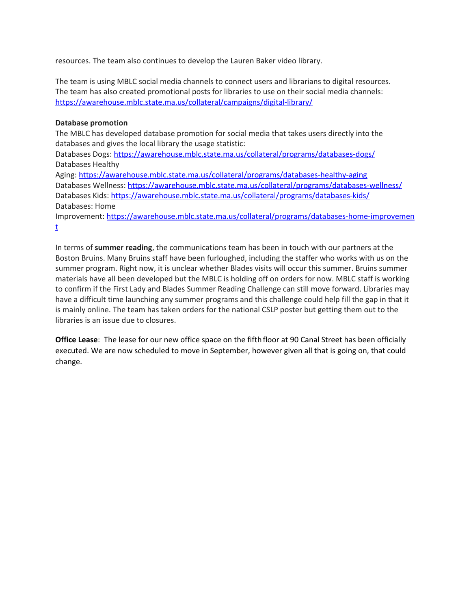resources. The team also continues to develop the Lauren Baker video library.

The team is using MBLC social media channels to connect users and librarians to digital resources. The team has also created promotional posts for libraries to use on their social media channels: <https://awarehouse.mblc.state.ma.us/collateral/campaigns/digital-library/>

#### **Database promotion**

The MBLC has developed database promotion for social media that takes users directly into the databases and gives the local library the usage statistic:

Databases Dogs: <https://awarehouse.mblc.state.ma.us/collateral/programs/databases-dogs/> Databases Healthy

Aging: <https://awarehouse.mblc.state.ma.us/collateral/programs/databases-healthy-aging> Databases Wellness: <https://awarehouse.mblc.state.ma.us/collateral/programs/databases-wellness/> Databases Kids: <https://awarehouse.mblc.state.ma.us/collateral/programs/databases-kids/> Databases: Home

Improvement: [https://awarehouse.mblc.state.ma.us/collateral/programs/databases-home-improvemen](https://awarehouse.mblc.state.ma.us/collateral/programs/databases-home-improvement/) [t](https://awarehouse.mblc.state.ma.us/collateral/programs/databases-home-improvement/)

In terms of **summer reading**, the communications team has been in touch with our partners at the Boston Bruins. Many Bruins staff have been furloughed, including the staffer who works with us on the summer program. Right now, it is unclear whether Blades visits will occur this summer. Bruins summer materials have all been developed but the MBLC is holding off on orders for now. MBLC staff is working to confirm if the First Lady and Blades Summer Reading Challenge can still move forward. Libraries may have a difficult time launching any summer programs and this challenge could help fill the gap in that it is mainly online. The team has taken orders for the national CSLP poster but getting them out to the libraries is an issue due to closures.

**Office Lease**: The lease for our new office space on the fifth floor at 90 Canal Street has been officially executed. We are now scheduled to move in September, however given all that is going on, that could change.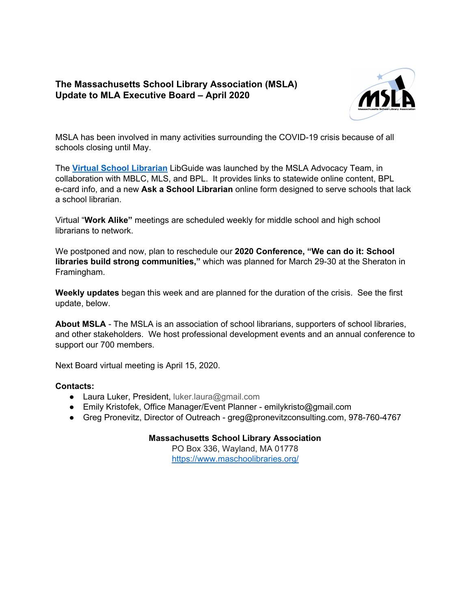# **The Massachusetts School Library Association (MSLA) Update to MLA Executive Board – April 2020**



MSLA has been involved in many activities surrounding the COVID-19 crisis because of all schools closing until May.

The **Virtual School [Librarian](https://guides.masslibsystem.org/c.php?g=1016128&p=7360036&preview=93ca37bc43b48d2b3e8a52dfd5a7e913)** LibGuide was launched by the MSLA Advocacy Team, in collaboration with MBLC, MLS, and BPL. It provides links to statewide online content, BPL e-card info, and a new **Ask a School Librarian** online form designed to serve schools that lack a school librarian.

Virtual "**Work Alike"** meetings are scheduled weekly for middle school and high school librarians to network.

We postponed and now, plan to reschedule our **2020 Conference, "We can do it: School libraries build strong communities,"** which was planned for March 29-30 at the Sheraton in Framingham.

**Weekly updates** began this week and are planned for the duration of the crisis. See the first update, below.

**About MSLA** - The MSLA is an association of school librarians, supporters of school libraries, and other stakeholders. We host professional development events and an annual conference to support our 700 members.

Next Board virtual meeting is April 15, 2020.

## **Contacts:**

- Laura Luker, President, luker.laura@gmail.com
- Emily Kristofek, Office Manager/Event Planner emilykristo@gmail.com
- Greg Pronevitz, Director of Outreach greg@pronevitzconsulting.com, 978-760-4767

## **Massachusetts School Library Association**

PO Box 336, Wayland, MA 01778 <https://www.maschoolibraries.org/>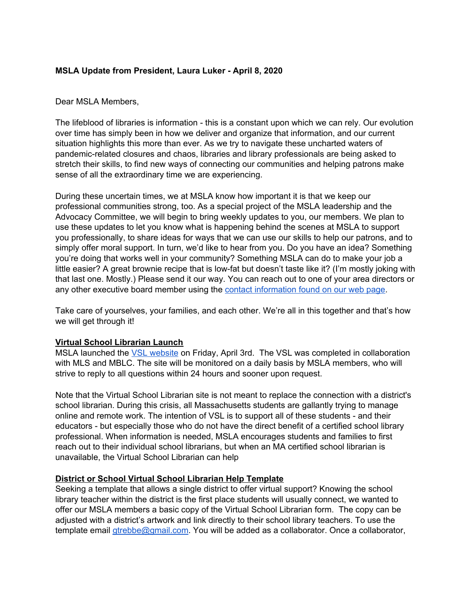## **MSLA Update from President, Laura Luker - April 8, 2020**

## Dear MSLA Members,

The lifeblood of libraries is information - this is a constant upon which we can rely. Our evolution over time has simply been in how we deliver and organize that information, and our current situation highlights this more than ever. As we try to navigate these uncharted waters of pandemic-related closures and chaos, libraries and library professionals are being asked to stretch their skills, to find new ways of connecting our communities and helping patrons make sense of all the extraordinary time we are experiencing.

During these uncertain times, we at MSLA know how important it is that we keep our professional communities strong, too. As a special project of the MSLA leadership and the Advocacy Committee, we will begin to bring weekly updates to you, our members. We plan to use these updates to let you know what is happening behind the scenes at MSLA to support you professionally, to share ideas for ways that we can use our skills to help our patrons, and to simply offer moral support. In turn, we'd like to hear from you. Do you have an idea? Something you're doing that works well in your community? Something MSLA can do to make your job a little easier? A great brownie recipe that is low-fat but doesn't taste like it? (I'm mostly joking with that last one. Mostly.) Please send it our way. You can reach out to one of your area directors or any other executive board member using the contact [information](https://www.maschoolibraries.org/msla-leadership-2019-20.html) found on our web page.

Take care of yourselves, your families, and each other. We're all in this together and that's how we will get through it!

#### **Virtual School Librarian Launch**

MSLA launched the VSL [website](https://guides.masslibsystem.org/c.php?g=1016128&p=7360036&preview=93ca37bc43b48d2b3e8a52dfd5a7e913) on Friday, April 3rd. The VSL was completed in collaboration with MLS and MBLC. The site will be monitored on a daily basis by MSLA members, who will strive to reply to all questions within 24 hours and sooner upon request.

Note that the Virtual School Librarian site is not meant to replace the connection with a district's school librarian. During this crisis, all Massachusetts students are gallantly trying to manage online and remote work. The intention of VSL is to support all of these students - and their educators - but especially those who do not have the direct benefit of a certified school library professional. When information is needed, MSLA encourages students and families to first reach out to their individual school librarians, but when an MA certified school librarian is unavailable, the Virtual School Librarian can help

## **District or School Virtual School Librarian Help Template**

Seeking a template that allows a single district to offer virtual support? Knowing the school library teacher within the district is the first place students will usually connect, we wanted to offer our MSLA members a basic copy of the Virtual School Librarian form. The copy can be adjusted with a district's artwork and link directly to their school library teachers. To use the template email [gtrebbe@gmail.com](mailto:gtrebbe@gmail.com). You will be added as a collaborator. Once a collaborator,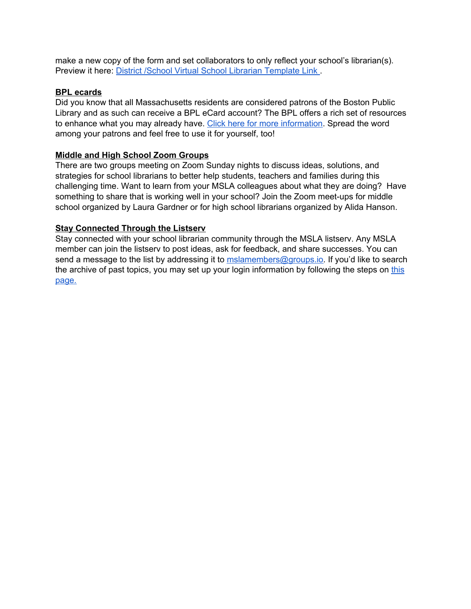make a new copy of the form and set collaborators to only reflect your school's librarian(s). Preview it here: District /School Virtual School Librarian [Template](https://forms.gle/pv7HjNzw9F1LJGUE8) Link .

#### **BPL ecards**

Did you know that all Massachusetts residents are considered patrons of the Boston Public Library and as such can receive a BPL eCard account? The BPL offers a rich set of resources to enhance what you may already have. Click here for more [information.](https://www.bpl.org/ecard/) Spread the word among your patrons and feel free to use it for yourself, too!

## **Middle and High School Zoom Groups**

There are two groups meeting on Zoom Sunday nights to discuss ideas, solutions, and strategies for school librarians to better help students, teachers and families during this challenging time. Want to learn from your MSLA colleagues about what they are doing? Have something to share that is working well in your school? Join the Zoom meet-ups for middle school organized by Laura Gardner or for high school librarians organized by Alida Hanson.

## **Stay Connected Through the Listserv**

Stay connected with your school librarian community through the MSLA listserv. Any MSLA member can join the listserv to post ideas, ask for feedback, and share successes. You can send a message to the list by addressing it to [mslamembers@groups.io.](mailto:mslamembers@groups.io) If you'd like to search the archive of past topics, you may set up your login information by following the steps on [this](https://groups.io/login) [page.](https://groups.io/login)